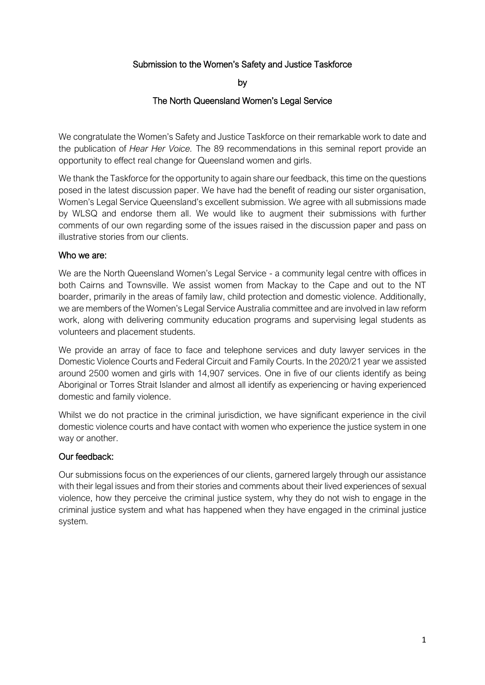# Submission to the Women's Safety and Justice Taskforce

by

#### The North Queensland Women's Legal Service

We congratulate the Women's Safety and Justice Taskforce on their remarkable work to date and the publication of *Hear Her Voice.* The 89 recommendations in this seminal report provide an opportunity to effect real change for Queensland women and girls.

We thank the Taskforce for the opportunity to again share our feedback, this time on the questions posed in the latest discussion paper. We have had the benefit of reading our sister organisation, Women's Legal Service Queensland's excellent submission. We agree with all submissions made by WLSQ and endorse them all. We would like to augment their submissions with further comments of our own regarding some of the issues raised in the discussion paper and pass on illustrative stories from our clients.

#### Who we are:

We are the North Queensland Women's Legal Service - a community legal centre with offices in both Cairns and Townsville. We assist women from Mackay to the Cape and out to the NT boarder, primarily in the areas of family law, child protection and domestic violence. Additionally, we are members of the Women's Legal Service Australia committee and are involved in law reform work, along with delivering community education programs and supervising legal students as volunteers and placement students.

We provide an array of face to face and telephone services and duty lawyer services in the Domestic Violence Courts and Federal Circuit and Family Courts. In the 2020/21 year we assisted around 2500 women and girls with 14,907 services. One in five of our clients identify as being Aboriginal or Torres Strait Islander and almost all identify as experiencing or having experienced domestic and family violence.

Whilst we do not practice in the criminal jurisdiction, we have significant experience in the civil domestic violence courts and have contact with women who experience the justice system in one way or another.

#### Our feedback:

Our submissions focus on the experiences of our clients, garnered largely through our assistance with their legal issues and from their stories and comments about their lived experiences of sexual violence, how they perceive the criminal justice system, why they do not wish to engage in the criminal justice system and what has happened when they have engaged in the criminal justice system.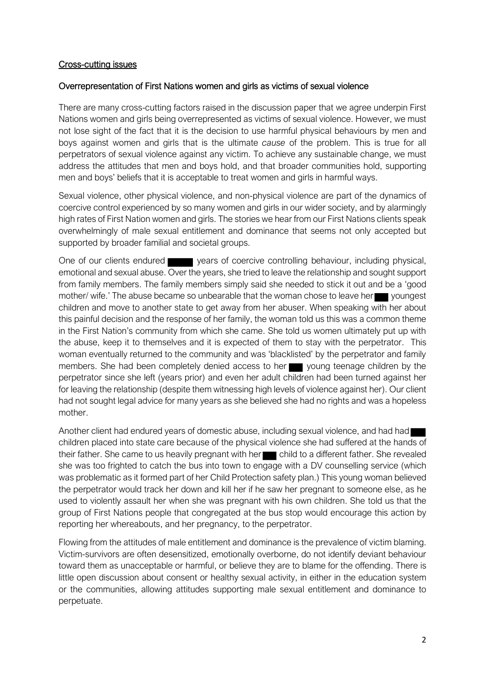#### Cross-cutting issues

#### Overrepresentation of First Nations women and girls as victims of sexual violence

There are many cross-cutting factors raised in the discussion paper that we agree underpin First Nations women and girls being overrepresented as victims of sexual violence. However, we must not lose sight of the fact that it is the decision to use harmful physical behaviours by men and boys against women and girls that is the ultimate *cause* of the problem. This is true for all perpetrators of sexual violence against any victim. To achieve any sustainable change, we must address the attitudes that men and boys hold, and that broader communities hold, supporting men and boys' beliefs that it is acceptable to treat women and girls in harmful ways.

Sexual violence, other physical violence, and non-physical violence are part of the dynamics of coercive control experienced by so many women and girls in our wider society, and by alarmingly high rates of First Nation women and girls. The stories we hear from our First Nations clients speak overwhelmingly of male sexual entitlement and dominance that seems not only accepted but supported by broader familial and societal groups.

One of our clients endured years of coercive controlling behaviour, including physical, emotional and sexual abuse. Over the years, she tried to leave the relationship and sought support from family members. The family members simply said she needed to stick it out and be a 'good mother/ wife.' The abuse became so unbearable that the woman chose to leave her youngest children and move to another state to get away from her abuser. When speaking with her about this painful decision and the response of her family, the woman told us this was a common theme in the First Nation's community from which she came. She told us women ultimately put up with the abuse, keep it to themselves and it is expected of them to stay with the perpetrator. This woman eventually returned to the community and was 'blacklisted' by the perpetrator and family members. She had been completely denied access to her young teenage children by the perpetrator since she left (years prior) and even her adult children had been turned against her for leaving the relationship (despite them witnessing high levels of violence against her). Our client had not sought legal advice for many years as she believed she had no rights and was a hopeless mother.

Another client had endured years of domestic abuse, including sexual violence, and had had children placed into state care because of the physical violence she had suffered at the hands of their father. She came to us heavily pregnant with her child to a different father. She revealed she was too frighted to catch the bus into town to engage with a DV counselling service (which was problematic as it formed part of her Child Protection safety plan.) This young woman believed the perpetrator would track her down and kill her if he saw her pregnant to someone else, as he used to violently assault her when she was pregnant with his own children. She told us that the group of First Nations people that congregated at the bus stop would encourage this action by reporting her whereabouts, and her pregnancy, to the perpetrator.

Flowing from the attitudes of male entitlement and dominance is the prevalence of victim blaming. Victim-survivors are often desensitized, emotionally overborne, do not identify deviant behaviour toward them as unacceptable or harmful, or believe they are to blame for the offending. There is little open discussion about consent or healthy sexual activity, in either in the education system or the communities, allowing attitudes supporting male sexual entitlement and dominance to perpetuate.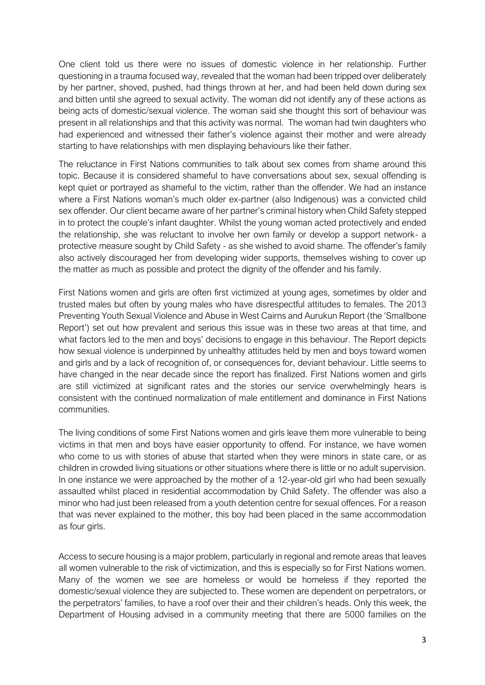One client told us there were no issues of domestic violence in her relationship. Further questioning in a trauma focused way, revealed that the woman had been tripped over deliberately by her partner, shoved, pushed, had things thrown at her, and had been held down during sex and bitten until she agreed to sexual activity. The woman did not identify any of these actions as being acts of domestic/sexual violence. The woman said she thought this sort of behaviour was present in all relationships and that this activity was normal. The woman had twin daughters who had experienced and witnessed their father's violence against their mother and were already starting to have relationships with men displaying behaviours like their father.

The reluctance in First Nations communities to talk about sex comes from shame around this topic. Because it is considered shameful to have conversations about sex, sexual offending is kept quiet or portrayed as shameful to the victim, rather than the offender. We had an instance where a First Nations woman's much older ex-partner (also Indigenous) was a convicted child sex offender. Our client became aware of her partner's criminal history when Child Safety stepped in to protect the couple's infant daughter. Whilst the young woman acted protectively and ended the relationship, she was reluctant to involve her own family or develop a support network- a protective measure sought by Child Safety - as she wished to avoid shame. The offender's family also actively discouraged her from developing wider supports, themselves wishing to cover up the matter as much as possible and protect the dignity of the offender and his family.

First Nations women and girls are often first victimized at young ages, sometimes by older and trusted males but often by young males who have disrespectful attitudes to females. The 2013 Preventing Youth Sexual Violence and Abuse in West Cairns and Aurukun Report (the 'Smallbone Report') set out how prevalent and serious this issue was in these two areas at that time, and what factors led to the men and boys' decisions to engage in this behaviour. The Report depicts how sexual violence is underpinned by unhealthy attitudes held by men and boys toward women and girls and by a lack of recognition of, or consequences for, deviant behaviour. Little seems to have changed in the near decade since the report has finalized. First Nations women and girls are still victimized at significant rates and the stories our service overwhelmingly hears is consistent with the continued normalization of male entitlement and dominance in First Nations communities.

The living conditions of some First Nations women and girls leave them more vulnerable to being victims in that men and boys have easier opportunity to offend. For instance, we have women who come to us with stories of abuse that started when they were minors in state care, or as children in crowded living situations or other situations where there is little or no adult supervision. In one instance we were approached by the mother of a 12-year-old girl who had been sexually assaulted whilst placed in residential accommodation by Child Safety. The offender was also a minor who had just been released from a youth detention centre for sexual offences. For a reason that was never explained to the mother, this boy had been placed in the same accommodation as four girls.

Access to secure housing is a major problem, particularly in regional and remote areas that leaves all women vulnerable to the risk of victimization, and this is especially so for First Nations women. Many of the women we see are homeless or would be homeless if they reported the domestic/sexual violence they are subjected to. These women are dependent on perpetrators, or the perpetrators' families, to have a roof over their and their children's heads. Only this week, the Department of Housing advised in a community meeting that there are 5000 families on the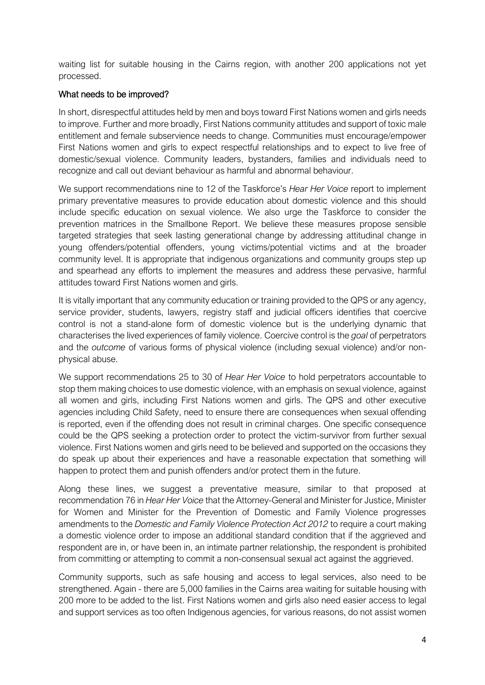waiting list for suitable housing in the Cairns region, with another 200 applications not yet processed.

### What needs to be improved?

In short, disrespectful attitudes held by men and boys toward First Nations women and girls needs to improve. Further and more broadly, First Nations community attitudes and support of toxic male entitlement and female subservience needs to change. Communities must encourage/empower First Nations women and girls to expect respectful relationships and to expect to live free of domestic/sexual violence. Community leaders, bystanders, families and individuals need to recognize and call out deviant behaviour as harmful and abnormal behaviour.

We support recommendations nine to 12 of the Taskforce's *Hear Her Voice* report to implement primary preventative measures to provide education about domestic violence and this should include specific education on sexual violence. We also urge the Taskforce to consider the prevention matrices in the Smallbone Report. We believe these measures propose sensible targeted strategies that seek lasting generational change by addressing attitudinal change in young offenders/potential offenders, young victims/potential victims and at the broader community level. It is appropriate that indigenous organizations and community groups step up and spearhead any efforts to implement the measures and address these pervasive, harmful attitudes toward First Nations women and girls.

It is vitally important that any community education or training provided to the QPS or any agency, service provider, students, lawyers, registry staff and judicial officers identifies that coercive control is not a stand-alone form of domestic violence but is the underlying dynamic that characterises the lived experiences of family violence. Coercive control is the *goal* of perpetrators and the *outcome* of various forms of physical violence (including sexual violence) and/or nonphysical abuse.

We support recommendations 25 to 30 of *Hear Her Voice* to hold perpetrators accountable to stop them making choices to use domestic violence, with an emphasis on sexual violence, against all women and girls, including First Nations women and girls. The QPS and other executive agencies including Child Safety, need to ensure there are consequences when sexual offending is reported, even if the offending does not result in criminal charges. One specific consequence could be the QPS seeking a protection order to protect the victim-survivor from further sexual violence. First Nations women and girls need to be believed and supported on the occasions they do speak up about their experiences and have a reasonable expectation that something will happen to protect them and punish offenders and/or protect them in the future.

Along these lines, we suggest a preventative measure, similar to that proposed at recommendation 76 in *Hear Her Voice* that the Attorney-General and Minister for Justice, Minister for Women and Minister for the Prevention of Domestic and Family Violence progresses amendments to the *Domestic and Family Violence Protection Act 2012* to require a court making a domestic violence order to impose an additional standard condition that if the aggrieved and respondent are in, or have been in, an intimate partner relationship, the respondent is prohibited from committing or attempting to commit a non-consensual sexual act against the aggrieved.

Community supports, such as safe housing and access to legal services, also need to be strengthened. Again - there are 5,000 families in the Cairns area waiting for suitable housing with 200 more to be added to the list. First Nations women and girls also need easier access to legal and support services as too often Indigenous agencies, for various reasons, do not assist women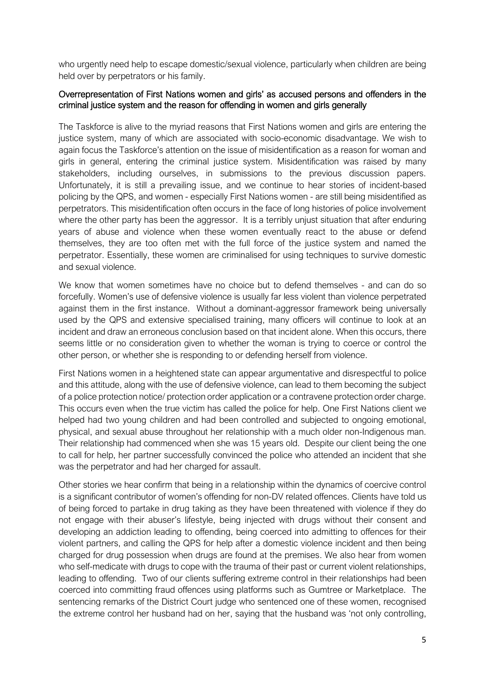who urgently need help to escape domestic/sexual violence, particularly when children are being held over by perpetrators or his family.

### Overrepresentation of First Nations women and girls' as accused persons and offenders in the criminal justice system and the reason for offending in women and girls generally

The Taskforce is alive to the myriad reasons that First Nations women and girls are entering the justice system, many of which are associated with socio-economic disadvantage. We wish to again focus the Taskforce's attention on the issue of misidentification as a reason for woman and girls in general, entering the criminal justice system. Misidentification was raised by many stakeholders, including ourselves, in submissions to the previous discussion papers. Unfortunately, it is still a prevailing issue, and we continue to hear stories of incident-based policing by the QPS, and women - especially First Nations women - are still being misidentified as perpetrators. This misidentification often occurs in the face of long histories of police involvement where the other party has been the aggressor. It is a terribly unjust situation that after enduring years of abuse and violence when these women eventually react to the abuse or defend themselves, they are too often met with the full force of the justice system and named the perpetrator. Essentially, these women are criminalised for using techniques to survive domestic and sexual violence.

We know that women sometimes have no choice but to defend themselves - and can do so forcefully. Women's use of defensive violence is usually far less violent than violence perpetrated against them in the first instance. Without a dominant-aggressor framework being universally used by the QPS and extensive specialised training, many officers will continue to look at an incident and draw an erroneous conclusion based on that incident alone. When this occurs, there seems little or no consideration given to whether the woman is trying to coerce or control the other person, or whether she is responding to or defending herself from violence.

First Nations women in a heightened state can appear argumentative and disrespectful to police and this attitude, along with the use of defensive violence, can lead to them becoming the subject of a police protection notice/ protection order application or a contravene protection order charge. This occurs even when the true victim has called the police for help. One First Nations client we helped had two young children and had been controlled and subjected to ongoing emotional, physical, and sexual abuse throughout her relationship with a much older non-Indigenous man. Their relationship had commenced when she was 15 years old. Despite our client being the one to call for help, her partner successfully convinced the police who attended an incident that she was the perpetrator and had her charged for assault.

Other stories we hear confirm that being in a relationship within the dynamics of coercive control is a significant contributor of women's offending for non-DV related offences. Clients have told us of being forced to partake in drug taking as they have been threatened with violence if they do not engage with their abuser's lifestyle, being injected with drugs without their consent and developing an addiction leading to offending, being coerced into admitting to offences for their violent partners, and calling the QPS for help after a domestic violence incident and then being charged for drug possession when drugs are found at the premises. We also hear from women who self-medicate with drugs to cope with the trauma of their past or current violent relationships, leading to offending. Two of our clients suffering extreme control in their relationships had been coerced into committing fraud offences using platforms such as Gumtree or Marketplace. The sentencing remarks of the District Court judge who sentenced one of these women, recognised the extreme control her husband had on her, saying that the husband was 'not only controlling,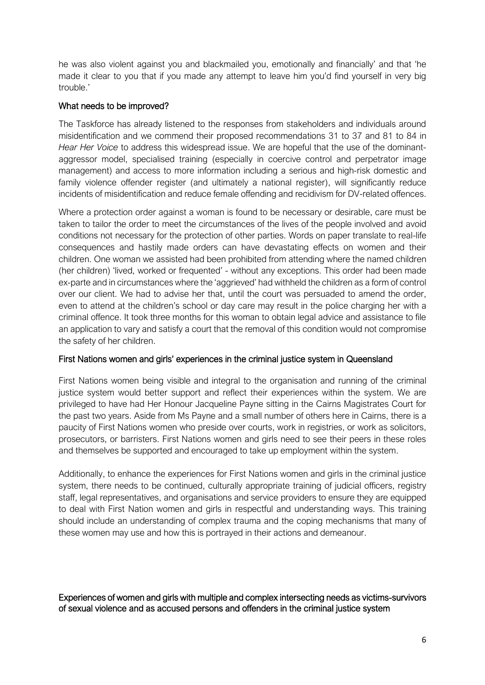he was also violent against you and blackmailed you, emotionally and financially' and that 'he made it clear to you that if you made any attempt to leave him you'd find yourself in very big trouble.'

# What needs to be improved?

The Taskforce has already listened to the responses from stakeholders and individuals around misidentification and we commend their proposed recommendations 31 to 37 and 81 to 84 in *Hear Her Voice* to address this widespread issue. We are hopeful that the use of the dominantaggressor model, specialised training (especially in coercive control and perpetrator image management) and access to more information including a serious and high-risk domestic and family violence offender register (and ultimately a national register), will significantly reduce incidents of misidentification and reduce female offending and recidivism for DV-related offences.

Where a protection order against a woman is found to be necessary or desirable, care must be taken to tailor the order to meet the circumstances of the lives of the people involved and avoid conditions not necessary for the protection of other parties. Words on paper translate to real-life consequences and hastily made orders can have devastating effects on women and their children. One woman we assisted had been prohibited from attending where the named children (her children) 'lived, worked or frequented' - without any exceptions. This order had been made ex-parte and in circumstances where the 'aggrieved' had withheld the children as a form of control over our client. We had to advise her that, until the court was persuaded to amend the order, even to attend at the children's school or day care may result in the police charging her with a criminal offence. It took three months for this woman to obtain legal advice and assistance to file an application to vary and satisfy a court that the removal of this condition would not compromise the safety of her children.

# First Nations women and girls' experiences in the criminal justice system in Queensland

First Nations women being visible and integral to the organisation and running of the criminal justice system would better support and reflect their experiences within the system. We are privileged to have had Her Honour Jacqueline Payne sitting in the Cairns Magistrates Court for the past two years. Aside from Ms Payne and a small number of others here in Cairns, there is a paucity of First Nations women who preside over courts, work in registries, or work as solicitors, prosecutors, or barristers. First Nations women and girls need to see their peers in these roles and themselves be supported and encouraged to take up employment within the system.

Additionally, to enhance the experiences for First Nations women and girls in the criminal justice system, there needs to be continued, culturally appropriate training of judicial officers, registry staff, legal representatives, and organisations and service providers to ensure they are equipped to deal with First Nation women and girls in respectful and understanding ways. This training should include an understanding of complex trauma and the coping mechanisms that many of these women may use and how this is portrayed in their actions and demeanour.

Experiences of women and girls with multiple and complex intersecting needs as victims-survivors of sexual violence and as accused persons and offenders in the criminal justice system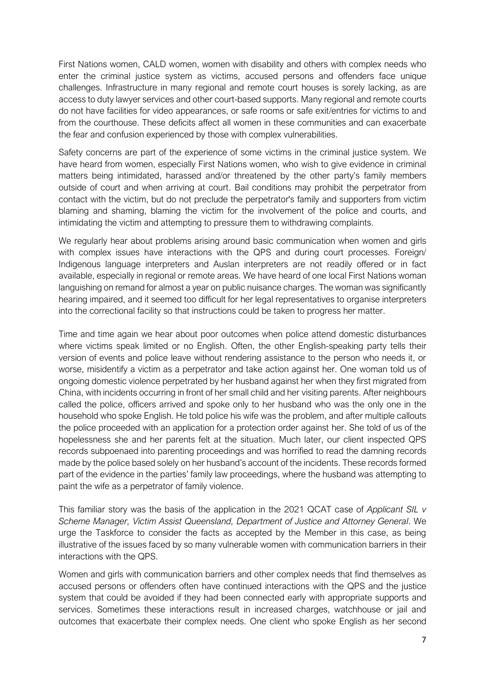First Nations women, CALD women, women with disability and others with complex needs who enter the criminal justice system as victims, accused persons and offenders face unique challenges. Infrastructure in many regional and remote court houses is sorely lacking, as are access to duty lawyer services and other court-based supports. Many regional and remote courts do not have facilities for video appearances, or safe rooms or safe exit/entries for victims to and from the courthouse. These deficits affect all women in these communities and can exacerbate the fear and confusion experienced by those with complex vulnerabilities.

Safety concerns are part of the experience of some victims in the criminal justice system. We have heard from women, especially First Nations women, who wish to give evidence in criminal matters being intimidated, harassed and/or threatened by the other party's family members outside of court and when arriving at court. Bail conditions may prohibit the perpetrator from contact with the victim, but do not preclude the perpetrator's family and supporters from victim blaming and shaming, blaming the victim for the involvement of the police and courts, and intimidating the victim and attempting to pressure them to withdrawing complaints.

We regularly hear about problems arising around basic communication when women and girls with complex issues have interactions with the QPS and during court processes. Foreign/ Indigenous language interpreters and Auslan interpreters are not readily offered or in fact available, especially in regional or remote areas. We have heard of one local First Nations woman languishing on remand for almost a year on public nuisance charges. The woman was significantly hearing impaired, and it seemed too difficult for her legal representatives to organise interpreters into the correctional facility so that instructions could be taken to progress her matter.

Time and time again we hear about poor outcomes when police attend domestic disturbances where victims speak limited or no English. Often, the other English-speaking party tells their version of events and police leave without rendering assistance to the person who needs it, or worse, misidentify a victim as a perpetrator and take action against her. One woman told us of ongoing domestic violence perpetrated by her husband against her when they first migrated from China, with incidents occurring in front of her small child and her visiting parents. After neighbours called the police, officers arrived and spoke only to her husband who was the only one in the household who spoke English. He told police his wife was the problem, and after multiple callouts the police proceeded with an application for a protection order against her. She told of us of the hopelessness she and her parents felt at the situation. Much later, our client inspected QPS records subpoenaed into parenting proceedings and was horrified to read the damning records made by the police based solely on her husband's account of the incidents. These records formed part of the evidence in the parties' family law proceedings, where the husband was attempting to paint the wife as a perpetrator of family violence.

This familiar story was the basis of the application in the 2021 QCAT case of *Applicant SIL v Scheme Manager, Victim Assist Queensland, Department of Justice and Attorney General*. We urge the Taskforce to consider the facts as accepted by the Member in this case, as being illustrative of the issues faced by so many vulnerable women with communication barriers in their interactions with the QPS.

Women and girls with communication barriers and other complex needs that find themselves as accused persons or offenders often have continued interactions with the QPS and the justice system that could be avoided if they had been connected early with appropriate supports and services. Sometimes these interactions result in increased charges, watchhouse or jail and outcomes that exacerbate their complex needs. One client who spoke English as her second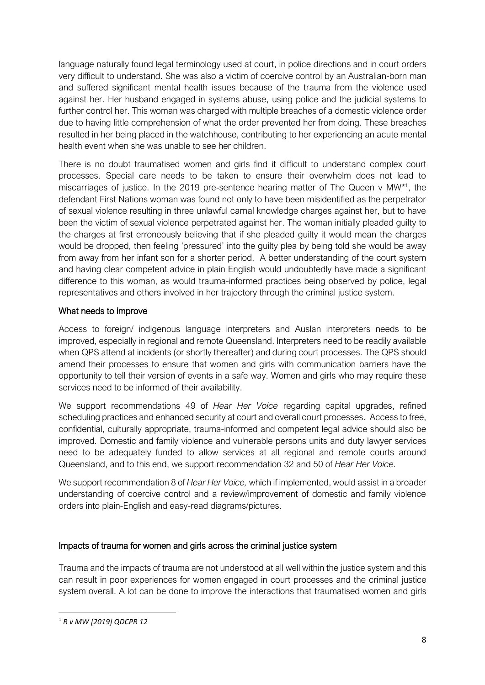language naturally found legal terminology used at court, in police directions and in court orders very difficult to understand. She was also a victim of coercive control by an Australian-born man and suffered significant mental health issues because of the trauma from the violence used against her. Her husband engaged in systems abuse, using police and the judicial systems to further control her. This woman was charged with multiple breaches of a domestic violence order due to having little comprehension of what the order prevented her from doing. These breaches resulted in her being placed in the watchhouse, contributing to her experiencing an acute mental health event when she was unable to see her children.

There is no doubt traumatised women and girls find it difficult to understand complex court processes. Special care needs to be taken to ensure their overwhelm does not lead to miscarriages of justice. In the 2019 pre-sentence hearing matter of The Queen v MW<sup>\*1</sup>, the defendant First Nations woman was found not only to have been misidentified as the perpetrator of sexual violence resulting in three unlawful carnal knowledge charges against her, but to have been the victim of sexual violence perpetrated against her. The woman initially pleaded guilty to the charges at first erroneously believing that if she pleaded guilty it would mean the charges would be dropped, then feeling 'pressured' into the guilty plea by being told she would be away from away from her infant son for a shorter period. A better understanding of the court system and having clear competent advice in plain English would undoubtedly have made a significant difference to this woman, as would trauma-informed practices being observed by police, legal representatives and others involved in her trajectory through the criminal justice system.

# What needs to improve

Access to foreign/ indigenous language interpreters and Auslan interpreters needs to be improved, especially in regional and remote Queensland. Interpreters need to be readily available when QPS attend at incidents (or shortly thereafter) and during court processes. The QPS should amend their processes to ensure that women and girls with communication barriers have the opportunity to tell their version of events in a safe way. Women and girls who may require these services need to be informed of their availability.

We support recommendations 49 of *Hear Her Voice* regarding capital upgrades, refined scheduling practices and enhanced security at court and overall court processes. Access to free, confidential, culturally appropriate, trauma-informed and competent legal advice should also be improved. Domestic and family violence and vulnerable persons units and duty lawyer services need to be adequately funded to allow services at all regional and remote courts around Queensland, and to this end, we support recommendation 32 and 50 of *Hear Her Voice.* 

We support recommendation 8 of *Hear Her Voice,* which if implemented, would assist in a broader understanding of coercive control and a review/improvement of domestic and family violence orders into plain-English and easy-read diagrams/pictures.

# Impacts of trauma for women and girls across the criminal justice system

Trauma and the impacts of trauma are not understood at all well within the justice system and this can result in poor experiences for women engaged in court processes and the criminal justice system overall. A lot can be done to improve the interactions that traumatised women and girls

<sup>1</sup> *R v MW [2019] QDCPR 12*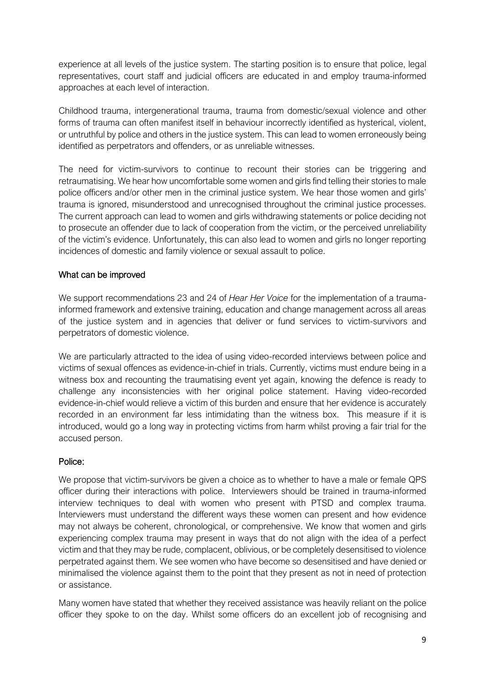experience at all levels of the justice system. The starting position is to ensure that police, legal representatives, court staff and judicial officers are educated in and employ trauma-informed approaches at each level of interaction.

Childhood trauma, intergenerational trauma, trauma from domestic/sexual violence and other forms of trauma can often manifest itself in behaviour incorrectly identified as hysterical, violent, or untruthful by police and others in the justice system. This can lead to women erroneously being identified as perpetrators and offenders, or as unreliable witnesses.

The need for victim-survivors to continue to recount their stories can be triggering and retraumatising. We hear how uncomfortable some women and girls find telling their stories to male police officers and/or other men in the criminal justice system. We hear those women and girls' trauma is ignored, misunderstood and unrecognised throughout the criminal justice processes. The current approach can lead to women and girls withdrawing statements or police deciding not to prosecute an offender due to lack of cooperation from the victim, or the perceived unreliability of the victim's evidence. Unfortunately, this can also lead to women and girls no longer reporting incidences of domestic and family violence or sexual assault to police.

# What can be improved

We support recommendations 23 and 24 of *Hear Her Voice* for the implementation of a traumainformed framework and extensive training, education and change management across all areas of the justice system and in agencies that deliver or fund services to victim-survivors and perpetrators of domestic violence.

We are particularly attracted to the idea of using video-recorded interviews between police and victims of sexual offences as evidence-in-chief in trials. Currently, victims must endure being in a witness box and recounting the traumatising event yet again, knowing the defence is ready to challenge any inconsistencies with her original police statement. Having video-recorded evidence-in-chief would relieve a victim of this burden and ensure that her evidence is accurately recorded in an environment far less intimidating than the witness box. This measure if it is introduced, would go a long way in protecting victims from harm whilst proving a fair trial for the accused person.

# Police:

We propose that victim-survivors be given a choice as to whether to have a male or female QPS officer during their interactions with police. Interviewers should be trained in trauma-informed interview techniques to deal with women who present with PTSD and complex trauma. Interviewers must understand the different ways these women can present and how evidence may not always be coherent, chronological, or comprehensive. We know that women and girls experiencing complex trauma may present in ways that do not align with the idea of a perfect victim and that they may be rude, complacent, oblivious, or be completely desensitised to violence perpetrated against them. We see women who have become so desensitised and have denied or minimalised the violence against them to the point that they present as not in need of protection or assistance.

Many women have stated that whether they received assistance was heavily reliant on the police officer they spoke to on the day. Whilst some officers do an excellent job of recognising and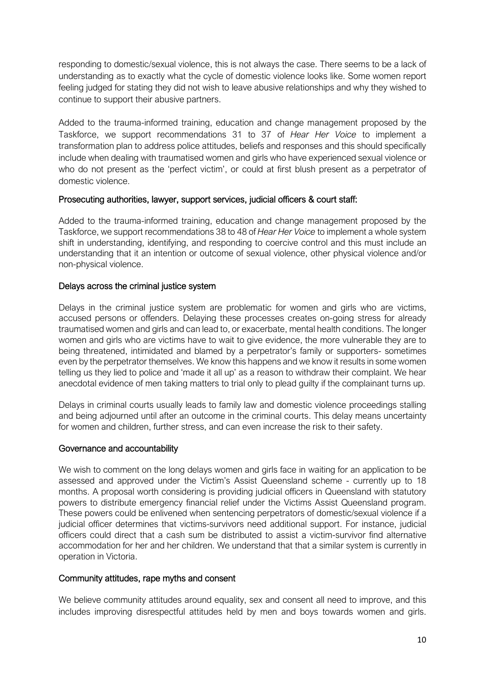responding to domestic/sexual violence, this is not always the case. There seems to be a lack of understanding as to exactly what the cycle of domestic violence looks like. Some women report feeling judged for stating they did not wish to leave abusive relationships and why they wished to continue to support their abusive partners.

Added to the trauma-informed training, education and change management proposed by the Taskforce, we support recommendations 31 to 37 of *Hear Her Voice* to implement a transformation plan to address police attitudes, beliefs and responses and this should specifically include when dealing with traumatised women and girls who have experienced sexual violence or who do not present as the 'perfect victim', or could at first blush present as a perpetrator of domestic violence.

#### Prosecuting authorities, lawyer, support services, judicial officers & court staff:

Added to the trauma-informed training, education and change management proposed by the Taskforce, we support recommendations 38 to 48 of *Hear Her Voice* to implement a whole system shift in understanding, identifying, and responding to coercive control and this must include an understanding that it an intention or outcome of sexual violence, other physical violence and/or non-physical violence.

#### Delays across the criminal justice system

Delays in the criminal justice system are problematic for women and girls who are victims, accused persons or offenders. Delaying these processes creates on-going stress for already traumatised women and girls and can lead to, or exacerbate, mental health conditions. The longer women and girls who are victims have to wait to give evidence, the more vulnerable they are to being threatened, intimidated and blamed by a perpetrator's family or supporters- sometimes even by the perpetrator themselves. We know this happens and we know it results in some women telling us they lied to police and 'made it all up' as a reason to withdraw their complaint. We hear anecdotal evidence of men taking matters to trial only to plead guilty if the complainant turns up.

Delays in criminal courts usually leads to family law and domestic violence proceedings stalling and being adjourned until after an outcome in the criminal courts. This delay means uncertainty for women and children, further stress, and can even increase the risk to their safety.

#### Governance and accountability

We wish to comment on the long delays women and girls face in waiting for an application to be assessed and approved under the Victim's Assist Queensland scheme - currently up to 18 months. A proposal worth considering is providing judicial officers in Queensland with statutory powers to distribute emergency financial relief under the Victims Assist Queensland program. These powers could be enlivened when sentencing perpetrators of domestic/sexual violence if a judicial officer determines that victims-survivors need additional support. For instance, judicial officers could direct that a cash sum be distributed to assist a victim-survivor find alternative accommodation for her and her children. We understand that that a similar system is currently in operation in Victoria.

#### Community attitudes, rape myths and consent

We believe community attitudes around equality, sex and consent all need to improve, and this includes improving disrespectful attitudes held by men and boys towards women and girls.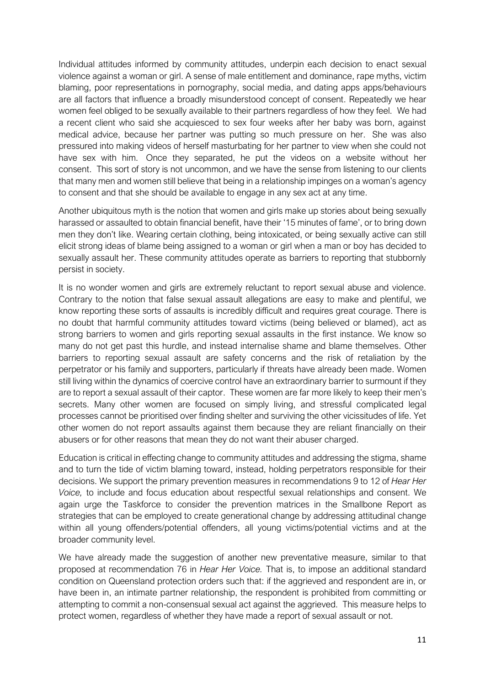Individual attitudes informed by community attitudes, underpin each decision to enact sexual violence against a woman or girl. A sense of male entitlement and dominance, rape myths, victim blaming, poor representations in pornography, social media, and dating apps apps/behaviours are all factors that influence a broadly misunderstood concept of consent. Repeatedly we hear women feel obliged to be sexually available to their partners regardless of how they feel. We had a recent client who said she acquiesced to sex four weeks after her baby was born, against medical advice, because her partner was putting so much pressure on her. She was also pressured into making videos of herself masturbating for her partner to view when she could not have sex with him. Once they separated, he put the videos on a website without her consent. This sort of story is not uncommon, and we have the sense from listening to our clients that many men and women still believe that being in a relationship impinges on a woman's agency to consent and that she should be available to engage in any sex act at any time.

Another ubiquitous myth is the notion that women and girls make up stories about being sexually harassed or assaulted to obtain financial benefit, have their '15 minutes of fame', or to bring down men they don't like. Wearing certain clothing, being intoxicated, or being sexually active can still elicit strong ideas of blame being assigned to a woman or girl when a man or boy has decided to sexually assault her. These community attitudes operate as barriers to reporting that stubbornly persist in society.

It is no wonder women and girls are extremely reluctant to report sexual abuse and violence. Contrary to the notion that false sexual assault allegations are easy to make and plentiful, we know reporting these sorts of assaults is incredibly difficult and requires great courage. There is no doubt that harmful community attitudes toward victims (being believed or blamed), act as strong barriers to women and girls reporting sexual assaults in the first instance. We know so many do not get past this hurdle, and instead internalise shame and blame themselves. Other barriers to reporting sexual assault are safety concerns and the risk of retaliation by the perpetrator or his family and supporters, particularly if threats have already been made. Women still living within the dynamics of coercive control have an extraordinary barrier to surmount if they are to report a sexual assault of their captor. These women are far more likely to keep their men's secrets. Many other women are focused on simply living, and stressful complicated legal processes cannot be prioritised over finding shelter and surviving the other vicissitudes of life. Yet other women do not report assaults against them because they are reliant financially on their abusers or for other reasons that mean they do not want their abuser charged.

Education is critical in effecting change to community attitudes and addressing the stigma, shame and to turn the tide of victim blaming toward, instead, holding perpetrators responsible for their decisions. We support the primary prevention measures in recommendations 9 to 12 of *Hear Her Voice,* to include and focus education about respectful sexual relationships and consent. We again urge the Taskforce to consider the prevention matrices in the Smallbone Report as strategies that can be employed to create generational change by addressing attitudinal change within all young offenders/potential offenders, all young victims/potential victims and at the broader community level.

We have already made the suggestion of another new preventative measure, similar to that proposed at recommendation 76 in *Hear Her Voice.* That is, to impose an additional standard condition on Queensland protection orders such that: if the aggrieved and respondent are in, or have been in, an intimate partner relationship, the respondent is prohibited from committing or attempting to commit a non-consensual sexual act against the aggrieved. This measure helps to protect women, regardless of whether they have made a report of sexual assault or not.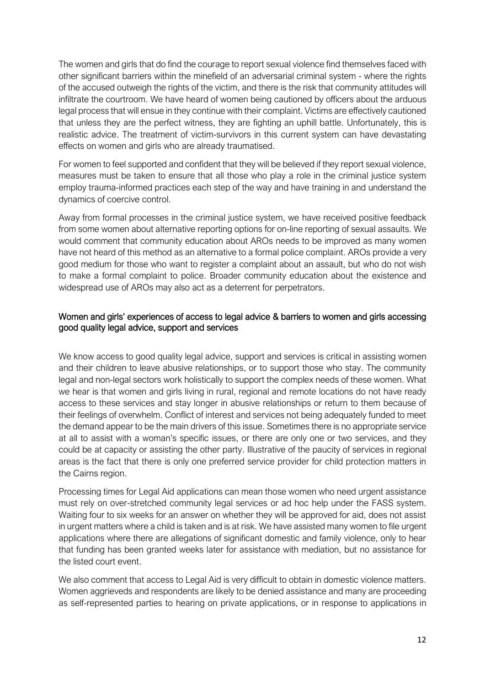The women and girls that do find the courage to report sexual violence find themselves faced with other significant barriers within the minefield of an adversarial criminal system - where the rights of the accused outweigh the rights of the victim, and there is the risk that community attitudes will infiltrate the courtroom. We have heard of women being cautioned by officers about the arduous legal process that will ensue in they continue with their complaint. Victims are effectively cautioned that unless they are the perfect witness, they are fighting an uphill battle. Unfortunately, this is realistic advice. The treatment of victim-survivors in this current system can have devastating effects on women and girls who are already traumatised.

For women to feel supported and confident that they will be believed if they report sexual violence, measures must be taken to ensure that all those who play a role in the criminal justice system employ trauma-informed practices each step of the way and have training in and understand the dynamics of coercive control.

Away from formal processes in the criminal justice system, we have received positive feedback from some women about alternative reporting options for on-line reporting of sexual assaults. We would comment that community education about AROs needs to be improved as many women have not heard of this method as an alternative to a formal police complaint. AROs provide a very good medium for those who want to register a complaint about an assault, but who do not wish to make a formal complaint to police. Broader community education about the existence and widespread use of AROs may also act as a deterrent for perpetrators.

### Women and girls' experiences of access to legal advice & barriers to women and girls accessing good quality legal advice, support and services

We know access to good quality legal advice, support and services is critical in assisting women and their children to leave abusive relationships, or to support those who stay. The community legal and non-legal sectors work holistically to support the complex needs of these women. What we hear is that women and girls living in rural, regional and remote locations do not have ready access to these services and stay longer in abusive relationships or return to them because of their feelings of overwhelm. Conflict of interest and services not being adequately funded to meet the demand appear to be the main drivers of this issue. Sometimes there is no appropriate service at all to assist with a woman's specific issues, or there are only one or two services, and they could be at capacity or assisting the other party. Illustrative of the paucity of services in regional areas is the fact that there is only one preferred service provider for child protection matters in the Cairns region.

Processing times for Legal Aid applications can mean those women who need urgent assistance must rely on over-stretched community legal services or ad hoc help under the FASS system. Waiting four to six weeks for an answer on whether they will be approved for aid, does not assist in urgent matters where a child is taken and is at risk. We have assisted many women to file urgent applications where there are allegations of significant domestic and family violence, only to hear that funding has been granted weeks later for assistance with mediation, but no assistance for the listed court event.

We also comment that access to Legal Aid is very difficult to obtain in domestic violence matters. Women aggrieveds and respondents are likely to be denied assistance and many are proceeding as self-represented parties to hearing on private applications, or in response to applications in